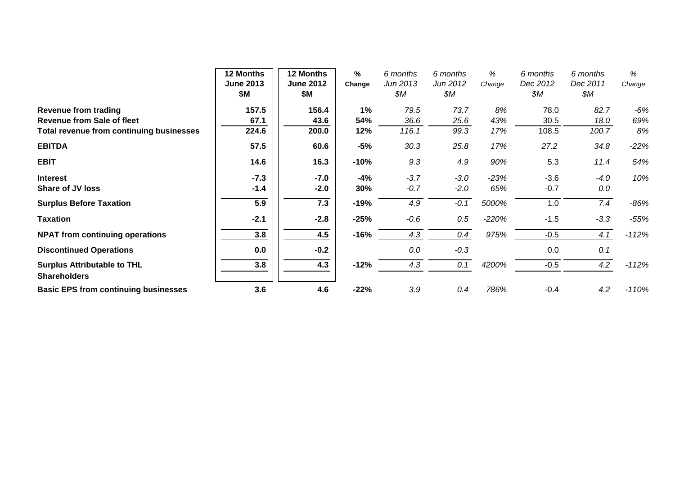|                                                           | 12 Months<br><b>June 2013</b><br>\$M | <b>12 Months</b><br><b>June 2012</b><br>\$Μ | $\%$<br>Change | 6 months<br>Jun 2013<br>\$M | 6 months<br>Jun 2012<br>\$M | %<br>Change | 6 months<br>Dec 2012<br>\$M | 6 months<br>Dec 2011<br>\$М | %<br>Change |
|-----------------------------------------------------------|--------------------------------------|---------------------------------------------|----------------|-----------------------------|-----------------------------|-------------|-----------------------------|-----------------------------|-------------|
| <b>Revenue from trading</b>                               | 157.5                                | 156.4                                       | 1%             | 79.5                        | 73.7                        | 8%          | 78.0                        | 82.7                        | $-6%$       |
| <b>Revenue from Sale of fleet</b>                         | 67.1                                 | 43.6                                        | 54%            | 36.6                        | 25.6                        | 43%         | 30.5                        | 18.0                        | 69%         |
| Total revenue from continuing businesses                  | 224.6                                | 200.0                                       | 12%            | 116.1                       | 99.3                        | 17%         | 108.5                       | 100.7                       | 8%          |
| <b>EBITDA</b>                                             | 57.5                                 | 60.6                                        | $-5%$          | 30.3                        | 25.8                        | 17%         | 27.2                        | 34.8                        | $-22%$      |
| <b>EBIT</b>                                               | 14.6                                 | 16.3                                        | $-10%$         | 9.3                         | 4.9                         | 90%         | 5.3                         | 11.4                        | 54%         |
| <b>Interest</b>                                           | $-7.3$                               | $-7.0$                                      | $-4%$          | $-3.7$                      | $-3.0$                      | $-23%$      | $-3.6$                      | $-4.0$                      | 10%         |
| <b>Share of JV loss</b>                                   | $-1.4$                               | $-2.0$                                      | 30%            | $-0.7$                      | $-2.0$                      | 65%         | $-0.7$                      | 0.0                         |             |
| <b>Surplus Before Taxation</b>                            | 5.9                                  | 7.3                                         | -19%           | 4.9                         | $-0.1$                      | 5000%       | 1.0                         | 7.4                         | $-86%$      |
| <b>Taxation</b>                                           | $-2.1$                               | $-2.8$                                      | $-25%$         | $-0.6$                      | 0.5                         | $-220%$     | $-1.5$                      | $-3.3$                      | $-55%$      |
| <b>NPAT from continuing operations</b>                    | 3.8                                  | 4.5                                         | $-16%$         | 4.3                         | 0.4                         | 975%        | $-0.5$                      | 4.1                         | $-112%$     |
| <b>Discontinued Operations</b>                            | 0.0                                  | $-0.2$                                      |                | 0.0                         | $-0.3$                      |             | 0.0                         | 0.1                         |             |
| <b>Surplus Attributable to THL</b><br><b>Shareholders</b> | 3.8                                  | 4.3                                         | $-12%$         | 4.3                         | 0.1                         | 4200%       | $-0.5$                      | 4.2                         | $-112%$     |
| <b>Basic EPS from continuing businesses</b>               | 3.6                                  | 4.6                                         | $-22%$         | 3.9                         | 0.4                         | 786%        | $-0.4$                      | 4.2                         | $-110%$     |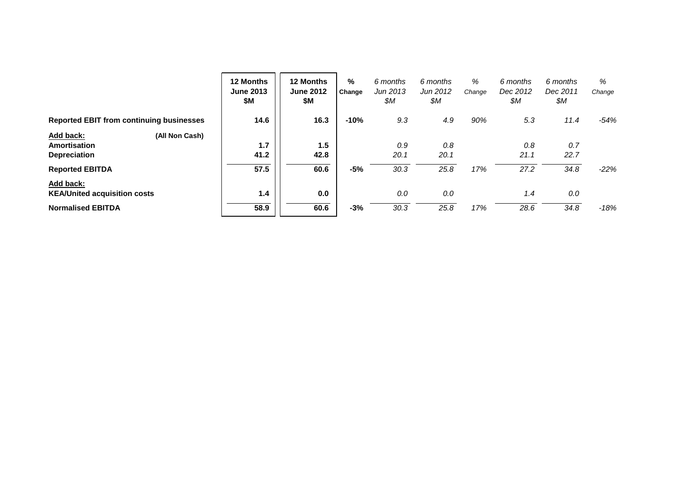|                                                 | 12 Months<br><b>June 2013</b><br>\$М | 12 Months<br><b>June 2012</b><br>\$Μ | %<br>Change | 6 months<br>Jun 2013<br>\$M | 6 months<br>Jun 2012<br>\$M | %<br>Change | 6 months<br>Dec 2012<br>\$М | 6 months<br>Dec 2011<br>\$М | %<br>Change |
|-------------------------------------------------|--------------------------------------|--------------------------------------|-------------|-----------------------------|-----------------------------|-------------|-----------------------------|-----------------------------|-------------|
| <b>Reported EBIT from continuing businesses</b> | 14.6                                 | 16.3                                 | $-10%$      | 9.3                         | 4.9                         | 90%         | 5.3                         | 11.4                        | $-54%$      |
| Add back:<br>(All Non Cash)                     |                                      |                                      |             |                             |                             |             |                             |                             |             |
| <b>Amortisation</b>                             | 1.7                                  | 1.5                                  |             | 0.9                         | 0.8                         |             | 0.8                         | 0.7                         |             |
| <b>Depreciation</b>                             | 41.2                                 | 42.8                                 |             | 20.1                        | 20.1                        |             | 21.1                        | 22.7                        |             |
| <b>Reported EBITDA</b>                          | 57.5                                 | 60.6                                 | $-5%$       | 30.3                        | 25.8                        | 17%         | 27.2                        | 34.8                        | $-22%$      |
| Add back:                                       |                                      |                                      |             |                             |                             |             |                             |                             |             |
| <b>KEA/United acquisition costs</b>             | 1.4                                  | 0.0                                  |             | 0.0                         | 0.0                         |             | 1.4                         | 0.0                         |             |
| <b>Normalised EBITDA</b>                        | 58.9                                 | 60.6                                 | $-3%$       | 30.3                        | 25.8                        | 17%         | 28.6                        | 34.8                        | $-18%$      |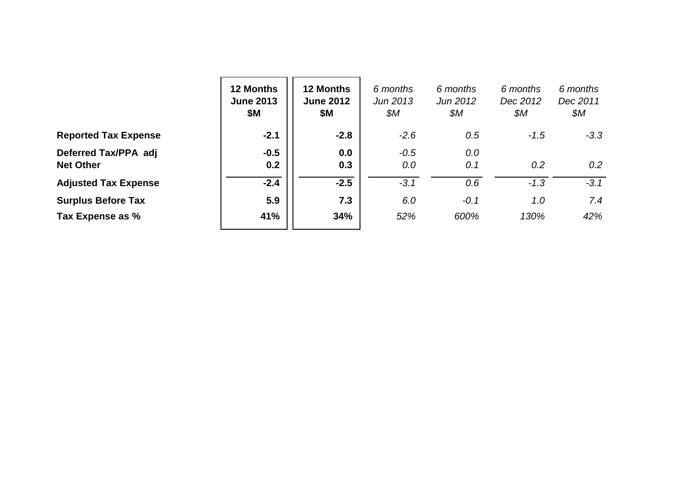|                                          | 12 Months<br><b>June 2013</b><br>\$Μ | <b>12 Months</b><br><b>June 2012</b><br>\$Μ | 6 months<br>Jun 2013<br>\$М | 6 months<br>Jun 2012<br>\$М | 6 months<br>Dec 2012<br>\$М | 6 months<br>Dec 2011<br>\$M |
|------------------------------------------|--------------------------------------|---------------------------------------------|-----------------------------|-----------------------------|-----------------------------|-----------------------------|
| <b>Reported Tax Expense</b>              | $-2.1$                               | $-2.8$                                      | $-2.6$                      | 0.5                         | $-1.5$                      | $-3.3$                      |
| Deferred Tax/PPA adj<br><b>Net Other</b> | $-0.5$<br>0.2                        | 0.0<br>0.3                                  | $-0.5$<br>0.0               | 0.0<br>0.1                  | 0.2                         | 0.2 <sub>0</sub>            |
| <b>Adjusted Tax Expense</b>              | $-2.4$                               | $-2.5$                                      | $-3.1$                      | 0.6                         | $-1.3$                      | $-3.1$                      |
| <b>Surplus Before Tax</b>                | 5.9                                  | 7.3                                         | 6.0                         | $-0.1$                      | 1.0                         | 7.4                         |
| Tax Expense as %                         | 41%                                  | 34%                                         | 52%                         | 600%                        | 130%                        | 42%                         |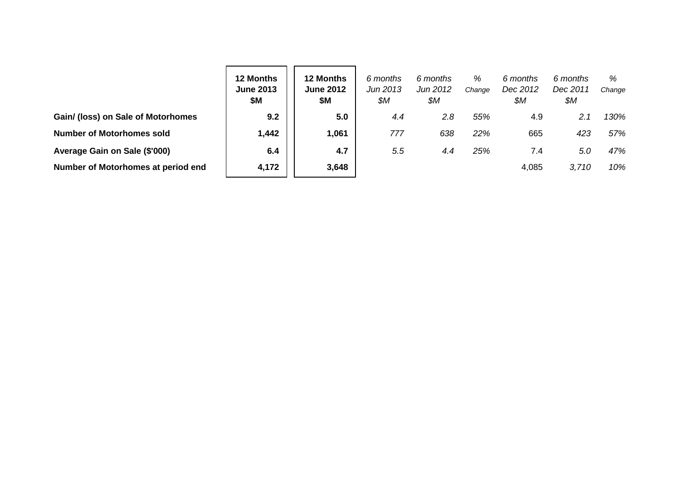|                                    | 12 Months<br><b>June 2013</b><br>\$М | <b>12 Months</b><br><b>June 2012</b><br>\$Μ | 6 months<br>Jun 2013<br>\$M | 6 months<br>Jun 2012<br>\$M | %<br>Change | 6 months<br>Dec 2012<br>\$M | 6 months<br>Dec 2011<br>\$М | %<br>Change |
|------------------------------------|--------------------------------------|---------------------------------------------|-----------------------------|-----------------------------|-------------|-----------------------------|-----------------------------|-------------|
| Gain/ (loss) on Sale of Motorhomes | 9.2                                  | 5.0                                         | 4.4                         | 2.8                         | 55%         | 4.9                         | 2.1                         | 130%        |
| <b>Number of Motorhomes sold</b>   | 1,442                                | 1,061                                       | 777                         | 638                         | 22%         | 665                         | 423                         | 57%         |
| Average Gain on Sale (\$'000)      | 6.4                                  | 4.7                                         | 5.5                         | 4.4                         | 25%         | 7.4                         | 5.0                         | 47%         |
| Number of Motorhomes at period end | 4,172                                | 3,648                                       |                             |                             |             | 4,085                       | 3.710                       | 10%         |

- -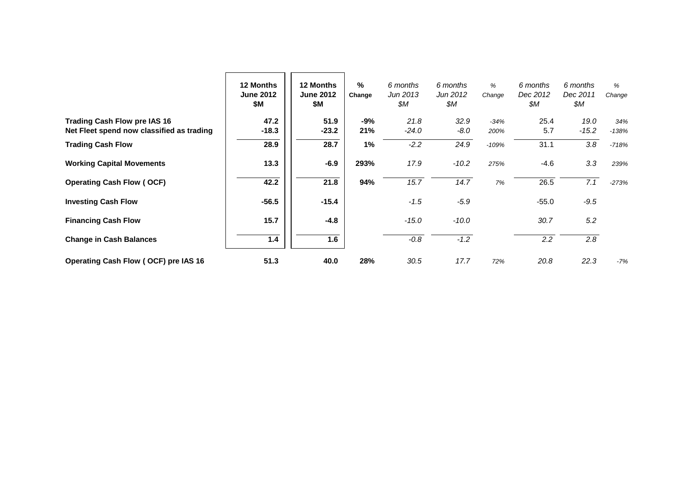|                                           | 12 Months<br><b>June 2012</b><br>\$M | <b>12 Months</b><br><b>June 2012</b><br>\$M | %<br>Change | 6 months<br>Jun 2013<br>\$M | 6 months<br>Jun 2012<br>\$M | %<br>Change | 6 months<br>Dec 2012<br>\$M | 6 months<br>Dec 2011<br>\$M | %<br>Change |
|-------------------------------------------|--------------------------------------|---------------------------------------------|-------------|-----------------------------|-----------------------------|-------------|-----------------------------|-----------------------------|-------------|
| <b>Trading Cash Flow pre IAS 16</b>       | 47.2                                 | 51.9                                        | -9%         | 21.8                        | 32.9                        | $-34%$      | 25.4                        | 19.0                        | 34%         |
| Net Fleet spend now classified as trading | $-18.3$                              | $-23.2$                                     | 21%         | $-24.0$                     | $-8.0$                      | 200%        | 5.7                         | $-15.2$                     | $-138%$     |
| <b>Trading Cash Flow</b>                  | 28.9                                 | 28.7                                        | 1%          | $-2.2$                      | 24.9                        | $-109%$     | 31.1                        | 3.8                         | $-718%$     |
| <b>Working Capital Movements</b>          | 13.3                                 | $-6.9$                                      | 293%        | 17.9                        | $-10.2$                     | 275%        | -4.6                        | 3.3                         | 239%        |
| <b>Operating Cash Flow (OCF)</b>          | 42.2                                 | 21.8                                        | 94%         | 15.7                        | 14.7                        | 7%          | 26.5                        | 7.1                         | $-273%$     |
| <b>Investing Cash Flow</b>                | $-56.5$                              | $-15.4$                                     |             | $-1.5$                      | $-5.9$                      |             | $-55.0$                     | $-9.5$                      |             |
| <b>Financing Cash Flow</b>                | 15.7                                 | $-4.8$                                      |             | $-15.0$                     | $-10.0$                     |             | 30.7                        | 5.2                         |             |
| <b>Change in Cash Balances</b>            | 1.4                                  | 1.6                                         |             | $-0.8$                      | $-1.2$                      |             | 2.2                         | 2.8                         |             |
| Operating Cash Flow (OCF) pre IAS 16      | 51.3                                 | 40.0                                        | 28%         | 30.5                        | 17.7                        | 72%         | 20.8                        | 22.3                        | $-7%$       |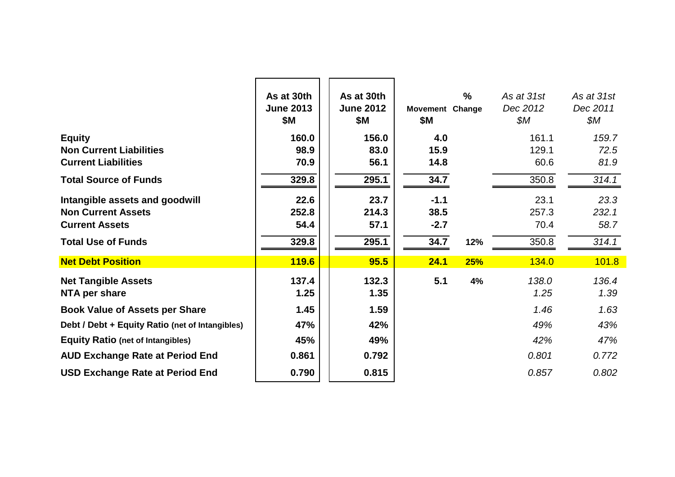|                                                 | As at 30th<br><b>June 2013</b><br>\$Μ | As at 30th<br><b>June 2012</b><br>\$Μ | <b>Movement Change</b><br><b>\$M</b> | $\frac{9}{6}$ | As at 31st<br>Dec 2012<br>\$М | As at 31st<br>Dec 2011<br>\$М |
|-------------------------------------------------|---------------------------------------|---------------------------------------|--------------------------------------|---------------|-------------------------------|-------------------------------|
| <b>Equity</b>                                   | 160.0                                 | 156.0                                 | 4.0                                  |               | 161.1                         | 159.7                         |
| <b>Non Current Liabilities</b>                  | 98.9                                  | 83.0                                  | 15.9                                 |               | 129.1                         | 72.5                          |
| <b>Current Liabilities</b>                      | 70.9                                  | 56.1                                  | 14.8                                 |               | 60.6                          | 81.9                          |
| <b>Total Source of Funds</b>                    | 329.8                                 | 295.1                                 | 34.7                                 |               | 350.8                         | 314.1                         |
| Intangible assets and goodwill                  | 22.6                                  | 23.7                                  | $-1.1$                               |               | 23.1                          | 23.3                          |
| <b>Non Current Assets</b>                       | 252.8                                 | 214.3                                 | 38.5                                 |               | 257.3                         | 232.1                         |
| <b>Current Assets</b>                           | 54.4                                  | 57.1                                  | $-2.7$                               |               | 70.4                          | 58.7                          |
| <b>Total Use of Funds</b>                       | 329.8                                 | 295.1                                 | 34.7                                 | 12%           | 350.8                         | 314.1                         |
| <b>Net Debt Position</b>                        | <b>119.6</b>                          | 95.5                                  | 24.1                                 | 25%           | 134.0                         | 101.8                         |
| <b>Net Tangible Assets</b><br>NTA per share     | 137.4<br>1.25                         | 132.3<br>1.35                         | 5.1                                  | 4%            | 138.0<br>1.25                 | 136.4<br>1.39                 |
| <b>Book Value of Assets per Share</b>           | 1.45                                  | 1.59                                  |                                      |               | 1.46                          | 1.63                          |
| Debt / Debt + Equity Ratio (net of Intangibles) | 47%                                   | 42%                                   |                                      |               | 49%                           | 43%                           |
| <b>Equity Ratio (net of Intangibles)</b>        | 45%                                   | 49%                                   |                                      |               | 42%                           | 47%                           |
| <b>AUD Exchange Rate at Period End</b>          | 0.861                                 | 0.792                                 |                                      |               | 0.801                         | 0.772                         |
| <b>USD Exchange Rate at Period End</b>          | 0.790                                 | 0.815                                 |                                      |               | 0.857                         | 0.802                         |